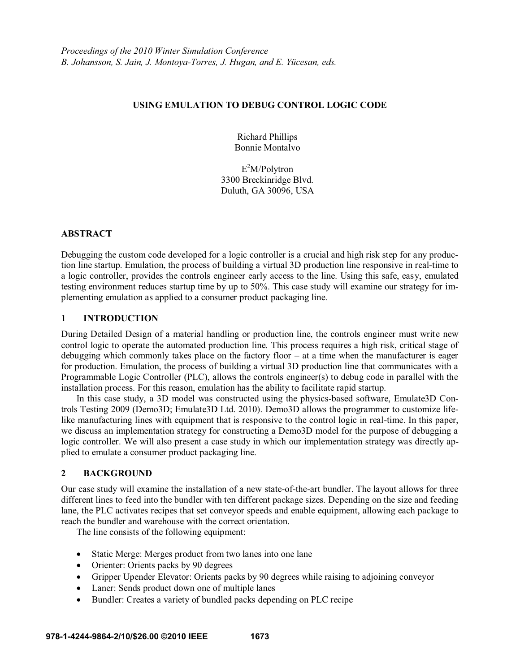#### **USING EMULATION TO DEBUG CONTROL LOGIC CODE**

Richard Phillips Bonnie Montalvo

E2 M/Polytron 3300 Breckinridge Blvd. Duluth, GA 30096, USA

# **ABSTRACT**

Debugging the custom code developed for a logic controller is a crucial and high risk step for any production line startup. Emulation, the process of building a virtual 3D production line responsive in real-time to a logic controller, provides the controls engineer early access to the line. Using this safe, easy, emulated testing environment reduces startup time by up to 50%. This case study will examine our strategy for implementing emulation as applied to a consumer product packaging line.

### **1 INTRODUCTION**

During Detailed Design of a material handling or production line, the controls engineer must write new control logic to operate the automated production line. This process requires a high risk, critical stage of debugging which commonly takes place on the factory floor – at a time when the manufacturer is eager for production. Emulation, the process of building a virtual 3D production line that communicates with a Programmable Logic Controller (PLC), allows the controls engineer(s) to debug code in parallel with the installation process. For this reason, emulation has the ability to facilitate rapid startup.

 In this case study, a 3D model was constructed using the physics-based software, Emulate3D Controls Testing 2009 (Demo3D; Emulate3D Ltd. 2010). Demo3D allows the programmer to customize lifelike manufacturing lines with equipment that is responsive to the control logic in real-time. In this paper, we discuss an implementation strategy for constructing a Demo3D model for the purpose of debugging a logic controller. We will also present a case study in which our implementation strategy was directly applied to emulate a consumer product packaging line.

### **2 BACKGROUND**

Our case study will examine the installation of a new state-of-the-art bundler. The layout allows for three different lines to feed into the bundler with ten different package sizes. Depending on the size and feeding lane, the PLC activates recipes that set conveyor speeds and enable equipment, allowing each package to reach the bundler and warehouse with the correct orientation.

The line consists of the following equipment:

- Static Merge: Merges product from two lanes into one lane
- Orienter: Orients packs by 90 degrees
- Gripper Upender Elevator: Orients packs by 90 degrees while raising to adjoining conveyor
- Laner: Sends product down one of multiple lanes
- Bundler: Creates a variety of bundled packs depending on PLC recipe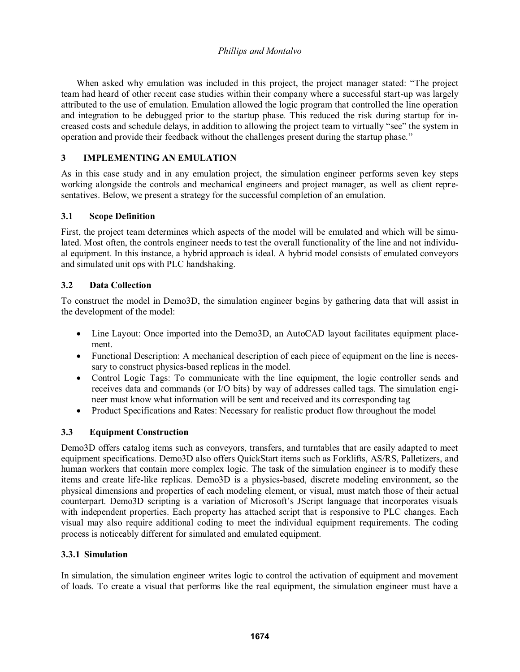When asked why emulation was included in this project, the project manager stated: "The project team had heard of other recent case studies within their company where a successful start-up was largely attributed to the use of emulation. Emulation allowed the logic program that controlled the line operation and integration to be debugged prior to the startup phase. This reduced the risk during startup for increased costs and schedule delays, in addition to allowing the   operation and provide their feedback without the challenges present during the startup phase.

## **3 IMPLEMENTING AN EMULATION**

As in this case study and in any emulation project, the simulation engineer performs seven key steps working alongside the controls and mechanical engineers and project manager, as well as client representatives. Below, we present a strategy for the successful completion of an emulation.

### **3.1 Scope Definition**

First, the project team determines which aspects of the model will be emulated and which will be simulated. Most often, the controls engineer needs to test the overall functionality of the line and not individual equipment. In this instance, a hybrid approach is ideal. A hybrid model consists of emulated conveyors and simulated unit ops with PLC handshaking.

# **3.2 Data Collection**

To construct the model in Demo3D, the simulation engineer begins by gathering data that will assist in the development of the model:

- Line Layout: Once imported into the Demo3D, an AutoCAD layout facilitates equipment placement.
- Functional Description: A mechanical description of each piece of equipment on the line is necessary to construct physics-based replicas in the model.
- Control Logic Tags: To communicate with the line equipment, the logic controller sends and receives data and commands (or I/O bits) by way of addresses called tags. The simulation engineer must know what information will be sent and received and its corresponding tag
- Product Specifications and Rates: Necessary for realistic product flow throughout the model

# **3.3 Equipment Construction**

Demo3D offers catalog items such as conveyors, transfers, and turntables that are easily adapted to meet equipment specifications. Demo3D also offers QuickStart items such as Forklifts, AS/RS, Palletizers, and human workers that contain more complex logic. The task of the simulation engineer is to modify these items and create life-like replicas. Demo3D is a physics-based, discrete modeling environment, so the physical dimensions and properties of each modeling element, or visual, must match those of their actual counterpart. Demo3D scripting is a variation of Microsoft's JScript language that incorporates visuals with independent properties. Each property has attached script that is responsive to PLC changes. Each visual may also require additional coding to meet the individual equipment requirements. The coding process is noticeably different for simulated and emulated equipment.

### **3.3.1 Simulation**

In simulation, the simulation engineer writes logic to control the activation of equipment and movement of loads. To create a visual that performs like the real equipment, the simulation engineer must have a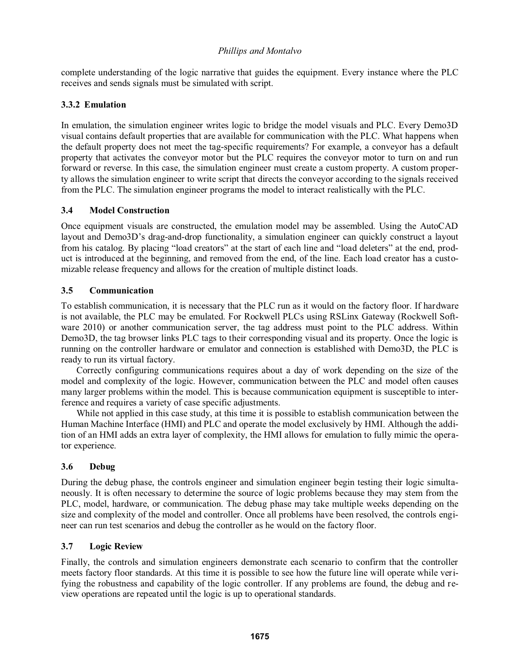complete understanding of the logic narrative that guides the equipment. Every instance where the PLC receives and sends signals must be simulated with script.

# **3.3.2 Emulation**

In emulation, the simulation engineer writes logic to bridge the model visuals and PLC. Every Demo3D visual contains default properties that are available for communication with the PLC. What happens when the default property does not meet the tag-specific requirements? For example, a conveyor has a default property that activates the conveyor motor but the PLC requires the conveyor motor to turn on and run forward or reverse. In this case, the simulation engineer must create a custom property. A custom property allows the simulation engineer to write script that directs the conveyor according to the signals received from the PLC. The simulation engineer programs the model to interact realistically with the PLC.

### **3.4 Model Construction**

Once equipment visuals are constructed, the emulation model may be assembled. Using the AutoCAD layout and Demo3D's drag-and-drop functionality, a simulation engineer can quickly construct a layout from his catalog. By placing "load creators" at the start of each line and "load deleters" at the end, product is introduced at the beginning, and removed from the end, of the line. Each load creator has a customizable release frequency and allows for the creation of multiple distinct loads.

# **3.5 Communication**

To establish communication, it is necessary that the PLC run as it would on the factory floor. If hardware is not available, the PLC may be emulated. For Rockwell PLCs using RSLinx Gateway (Rockwell Software 2010) or another communication server, the tag address must point to the PLC address. Within Demo3D, the tag browser links PLC tags to their corresponding visual and its property. Once the logic is running on the controller hardware or emulator and connection is established with Demo3D, the PLC is ready to run its virtual factory.

 Correctly configuring communications requires about a day of work depending on the size of the model and complexity of the logic. However, communication between the PLC and model often causes many larger problems within the model. This is because communication equipment is susceptible to interference and requires a variety of case specific adjustments.

 While not applied in this case study, at this time it is possible to establish communication between the Human Machine Interface (HMI) and PLC and operate the model exclusively by HMI. Although the addition of an HMI adds an extra layer of complexity, the HMI allows for emulation to fully mimic the operator experience.

# **3.6 Debug**

During the debug phase, the controls engineer and simulation engineer begin testing their logic simultaneously. It is often necessary to determine the source of logic problems because they may stem from the PLC, model, hardware, or communication. The debug phase may take multiple weeks depending on the size and complexity of the model and controller. Once all problems have been resolved, the controls engineer can run test scenarios and debug the controller as he would on the factory floor.

# **3.7 Logic Review**

Finally, the controls and simulation engineers demonstrate each scenario to confirm that the controller meets factory floor standards. At this time it is possible to see how the future line will operate while verifying the robustness and capability of the logic controller. If any problems are found, the debug and review operations are repeated until the logic is up to operational standards.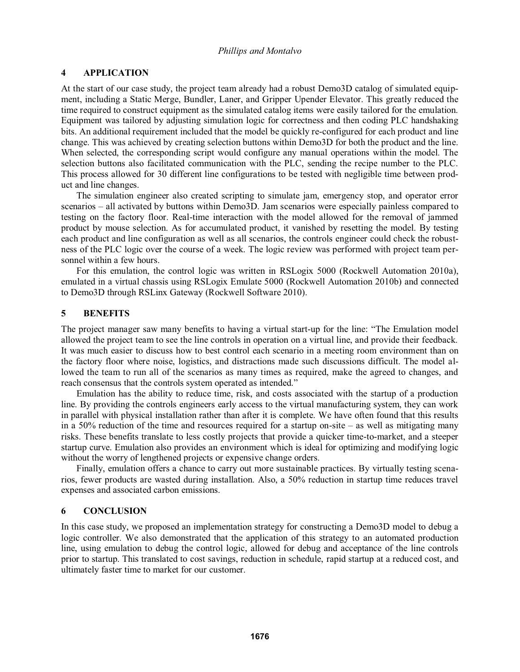#### **4 APPLICATION**

At the start of our case study, the project team already had a robust Demo3D catalog of simulated equipment, including a Static Merge, Bundler, Laner, and Gripper Upender Elevator. This greatly reduced the time required to construct equipment as the simulated catalog items were easily tailored for the emulation. Equipment was tailored by adjusting simulation logic for correctness and then coding PLC handshaking bits. An additional requirement included that the model be quickly re-configured for each product and line change. This was achieved by creating selection buttons within Demo3D for both the product and the line. When selected, the corresponding script would configure any manual operations within the model. The selection buttons also facilitated communication with the PLC, sending the recipe number to the PLC. This process allowed for 30 different line configurations to be tested with negligible time between product and line changes.

 The simulation engineer also created scripting to simulate jam, emergency stop, and operator error scenarios – all activated by buttons within Demo3D. Jam scenarios were especially painless compared to testing on the factory floor. Real-time interaction with the model allowed for the removal of jammed product by mouse selection. As for accumulated product, it vanished by resetting the model. By testing each product and line configuration as well as all scenarios, the controls engineer could check the robustness of the PLC logic over the course of a week. The logic review was performed with project team personnel within a few hours.

 For this emulation, the control logic was written in RSLogix 5000 (Rockwell Automation 2010a), emulated in a virtual chassis using RSLogix Emulate 5000 (Rockwell Automation 2010b) and connected to Demo3D through RSLinx Gateway (Rockwell Software 2010).

#### **5 BENEFITS**

The project manager saw many benefits to having a virtual start-up for the line: "The Emulation model" allowed the project team to see the line controls in operation on a virtual line, and provide their feedback. It was much easier to discuss how to best control each scenario in a meeting room environment than on the factory floor where noise, logistics, and distractions made such discussions difficult. The model allowed the team to run all of the scenarios as many times as required, make the agreed to changes, and reach consensus that the controls system operated as intended.

 Emulation has the ability to reduce time, risk, and costs associated with the startup of a production line. By providing the controls engineers early access to the virtual manufacturing system, they can work in parallel with physical installation rather than after it is complete. We have often found that this results in a 50% reduction of the time and resources required for a startup on-site - as well as mitigating many risks. These benefits translate to less costly projects that provide a quicker time-to-market, and a steeper startup curve. Emulation also provides an environment which is ideal for optimizing and modifying logic without the worry of lengthened projects or expensive change orders.

 Finally, emulation offers a chance to carry out more sustainable practices. By virtually testing scenarios, fewer products are wasted during installation. Also, a 50% reduction in startup time reduces travel expenses and associated carbon emissions.

#### **6 CONCLUSION**

In this case study, we proposed an implementation strategy for constructing a Demo3D model to debug a logic controller. We also demonstrated that the application of this strategy to an automated production line, using emulation to debug the control logic, allowed for debug and acceptance of the line controls prior to startup. This translated to cost savings, reduction in schedule, rapid startup at a reduced cost, and ultimately faster time to market for our customer.